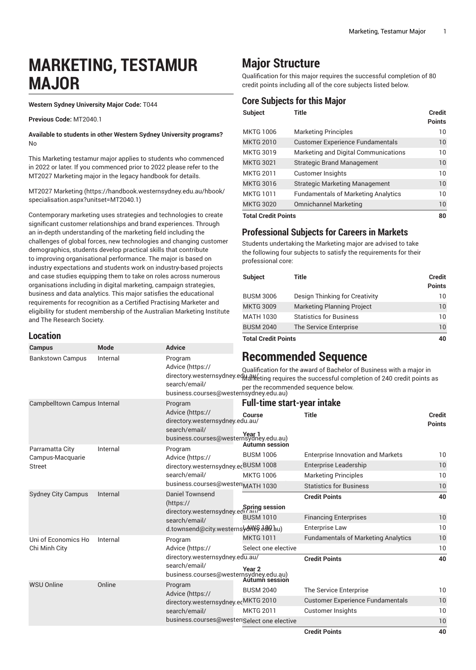# **MARKETING, TESTAMUR MAJOR**

**Western Sydney University Major Code:** T044

**Previous Code:** MT2040.1

**Available to students in other Western Sydney University programs?** No

This Marketing testamur major applies to students who commenced in 2022 or later. If you commenced prior to 2022 please refer to the MT2027 Marketing major in the legacy handbook for details.

MT2027 [Marketing \(https://handbook.westernsydney.edu.au/hbook/](https://handbook.westernsydney.edu.au/hbook/specialisation.aspx?unitset=MT2040.1) [specialisation.aspx?unitset=MT2040.1\)](https://handbook.westernsydney.edu.au/hbook/specialisation.aspx?unitset=MT2040.1)

Contemporary marketing uses strategies and technologies to create significant customer relationships and brand experiences. Through an in-depth understanding of the marketing field including the challenges of global forces, new technologies and changing customer demographics, students develop practical skills that contribute to improving organisational performance. The major is based on industry expectations and students work on industry-based projects and case studies equipping them to take on roles across numerous organisations including in digital marketing, campaign strategies, business and data analytics. This major satisfies the educational requirements for recognition as a Certified Practising Marketer and eligibility for student membership of the Australian Marketing Institute and The Research Society.

[Advice \(https://](https://directory.westernsydney.edu.au/search/email/business.courses@westernsydney.edu.au)

[search/email/](https://directory.westernsydney.edu.au/search/email/business.courses@westernsydney.edu.au)

**Campus Mode Advice** Bankstown Campus Internal [Program](https://directory.westernsydney.edu.au/search/email/business.courses@westernsydney.edu.au)

## **Location**

# **Major Structure**

Qualification for this major requires the successful completion of 80 credit points including all of the core subjects listed below.

|  | <b>Core Subjects for this Major</b> |  |
|--|-------------------------------------|--|
|  |                                     |  |

| <b>Subject</b>             | Title                                      | <b>Credit</b><br><b>Points</b> |
|----------------------------|--------------------------------------------|--------------------------------|
| <b>MKTG 1006</b>           | <b>Marketing Principles</b>                | 10                             |
| <b>MKTG 2010</b>           | <b>Customer Experience Fundamentals</b>    | 10                             |
| <b>MKTG 3019</b>           | Marketing and Digital Communications       | 10                             |
| <b>MKTG 3021</b>           | <b>Strategic Brand Management</b>          | 10                             |
| <b>MKTG 2011</b>           | <b>Customer Insights</b>                   | 10                             |
| <b>MKTG 3016</b>           | <b>Strategic Marketing Management</b>      | 10                             |
| <b>MKTG 1011</b>           | <b>Fundamentals of Marketing Analytics</b> | 10                             |
| <b>MKTG 3020</b>           | <b>Omnichannel Marketing</b>               | 10                             |
| <b>Total Credit Points</b> |                                            |                                |

## **Professional Subjects for Careers in Markets**

Students undertaking the Marketing major are advised to take the following four subjects to satisfy the requirements for their professional core:

| <b>Subject</b>             | Title                             | <b>Credit</b><br><b>Points</b> |
|----------------------------|-----------------------------------|--------------------------------|
| <b>BUSM 3006</b>           | Design Thinking for Creativity    | 10                             |
| <b>MKTG 3009</b>           | <b>Marketing Planning Project</b> | 10                             |
| <b>MATH 1030</b>           | <b>Statistics for Business</b>    | 10                             |
| <b>BUSM 2040</b>           | The Service Enterprise            | 10                             |
| <b>Total Credit Points</b> |                                   | 40                             |

# **Recommended Sequence**

directory.westernsydney.ed Warketing requires the successful completion of 240 credit points as [business.courses@westernsydney.edu.au\)](https://directory.westernsydney.edu.au/search/email/business.courses@westernsydney.edu.au) Qualification for the award of Bachelor of Business with a major in per the recommended sequence below.

### **Full-time start-year intake**

| Campbelltown Campus Internal                         |          | Program                                                                                                                                           | <b>Full-time start-year intake</b>  |                                            |                                |  |
|------------------------------------------------------|----------|---------------------------------------------------------------------------------------------------------------------------------------------------|-------------------------------------|--------------------------------------------|--------------------------------|--|
|                                                      |          | Advice (https://<br>directory.westernsydney.edu.au/<br>search/email/<br><b>Year 1</b><br>business.courses@westernsydney.edu.au)                   | Course                              | Title                                      | <b>Credit</b><br><b>Points</b> |  |
|                                                      |          |                                                                                                                                                   | <b>Autumn session</b>               |                                            |                                |  |
| Parramatta City<br>Campus-Macquarie<br><b>Street</b> | Internal | Program<br>Advice (https://<br>directory.westernsydney.ecBUSM 1008<br>search/email/<br>business.courses@westerMATH 1030                           | <b>BUSM 1006</b>                    | <b>Enterprise Innovation and Markets</b>   | 10                             |  |
|                                                      |          |                                                                                                                                                   |                                     | Enterprise Leadership                      | 10                             |  |
|                                                      |          |                                                                                                                                                   | <b>MKTG 1006</b>                    | <b>Marketing Principles</b>                | 10                             |  |
|                                                      |          |                                                                                                                                                   |                                     | <b>Statistics for Business</b>             | 10                             |  |
| <b>Sydney City Campus</b>                            | Internal | <b>Daniel Townsend</b><br>(htps://<br>Spring session<br>directory.westernsydney.edu.au/<br>search/email/<br>d.townsend@city.westernsydWey.ddQ.bu) |                                     | <b>Credit Points</b>                       | 40                             |  |
|                                                      |          |                                                                                                                                                   | <b>BUSM 1010</b>                    | <b>Financing Enterprises</b>               | 10                             |  |
|                                                      |          |                                                                                                                                                   |                                     | <b>Enterprise Law</b>                      | 10                             |  |
| Uni of Economics Ho                                  | Internal | Program                                                                                                                                           | <b>MKTG 1011</b>                    | <b>Fundamentals of Marketing Analytics</b> | 10                             |  |
| Chi Minh City                                        |          | Advice (https://<br>directory.westernsydney.edu.au/<br>search/email/<br>business.courses@westernsydney.edu.au)                                    | Select one elective                 |                                            | 10                             |  |
|                                                      |          |                                                                                                                                                   | Year <sub>2</sub>                   | <b>Credit Points</b>                       | 40                             |  |
| <b>WSU Online</b>                                    | Online   | Program<br>Advice (https://<br>directory.westernsydney.ecMKTG 2010<br>search/email/<br>business.courses@wester Select one elective                | Aútumín session<br><b>BUSM 2040</b> | The Service Enterprise                     | 10                             |  |
|                                                      |          |                                                                                                                                                   |                                     | <b>Customer Experience Fundamentals</b>    | 10                             |  |
|                                                      |          |                                                                                                                                                   | <b>MKTG 2011</b>                    | <b>Customer Insights</b>                   | 10                             |  |
|                                                      |          |                                                                                                                                                   |                                     |                                            | 10                             |  |
|                                                      |          |                                                                                                                                                   |                                     |                                            |                                |  |

**Credit Points 40**